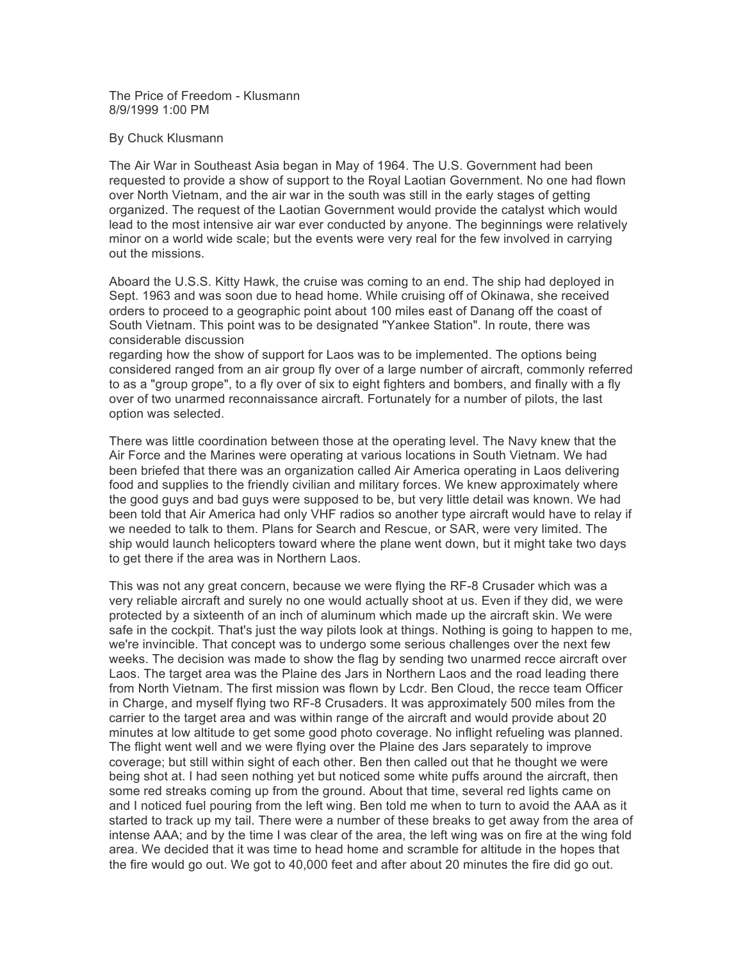The Price of Freedom - Klusmann 8/9/1999 1:00 PM

## By Chuck Klusmann

The Air War in Southeast Asia began in May of 1964. The U.S. Government had been requested to provide a show of support to the Royal Laotian Government. No one had flown over North Vietnam, and the air war in the south was still in the early stages of getting organized. The request of the Laotian Government would provide the catalyst which would lead to the most intensive air war ever conducted by anyone. The beginnings were relatively minor on a world wide scale; but the events were very real for the few involved in carrying out the missions.

Aboard the U.S.S. Kitty Hawk, the cruise was coming to an end. The ship had deployed in Sept. 1963 and was soon due to head home. While cruising off of Okinawa, she received orders to proceed to a geographic point about 100 miles east of Danang off the coast of South Vietnam. This point was to be designated "Yankee Station". In route, there was considerable discussion

regarding how the show of support for Laos was to be implemented. The options being considered ranged from an air group fly over of a large number of aircraft, commonly referred to as a "group grope", to a fly over of six to eight fighters and bombers, and finally with a fly over of two unarmed reconnaissance aircraft. Fortunately for a number of pilots, the last option was selected.

There was little coordination between those at the operating level. The Navy knew that the Air Force and the Marines were operating at various locations in South Vietnam. We had been briefed that there was an organization called Air America operating in Laos delivering food and supplies to the friendly civilian and military forces. We knew approximately where the good guys and bad guys were supposed to be, but very little detail was known. We had been told that Air America had only VHF radios so another type aircraft would have to relay if we needed to talk to them. Plans for Search and Rescue, or SAR, were very limited. The ship would launch helicopters toward where the plane went down, but it might take two days to get there if the area was in Northern Laos.

This was not any great concern, because we were flying the RF-8 Crusader which was a very reliable aircraft and surely no one would actually shoot at us. Even if they did, we were protected by a sixteenth of an inch of aluminum which made up the aircraft skin. We were safe in the cockpit. That's just the way pilots look at things. Nothing is going to happen to me, we're invincible. That concept was to undergo some serious challenges over the next few weeks. The decision was made to show the flag by sending two unarmed recce aircraft over Laos. The target area was the Plaine des Jars in Northern Laos and the road leading there from North Vietnam. The first mission was flown by Lcdr. Ben Cloud, the recce team Officer in Charge, and myself flying two RF-8 Crusaders. It was approximately 500 miles from the carrier to the target area and was within range of the aircraft and would provide about 20 minutes at low altitude to get some good photo coverage. No inflight refueling was planned. The flight went well and we were flying over the Plaine des Jars separately to improve coverage; but still within sight of each other. Ben then called out that he thought we were being shot at. I had seen nothing yet but noticed some white puffs around the aircraft, then some red streaks coming up from the ground. About that time, several red lights came on and I noticed fuel pouring from the left wing. Ben told me when to turn to avoid the AAA as it started to track up my tail. There were a number of these breaks to get away from the area of intense AAA; and by the time I was clear of the area, the left wing was on fire at the wing fold area. We decided that it was time to head home and scramble for altitude in the hopes that the fire would go out. We got to 40,000 feet and after about 20 minutes the fire did go out.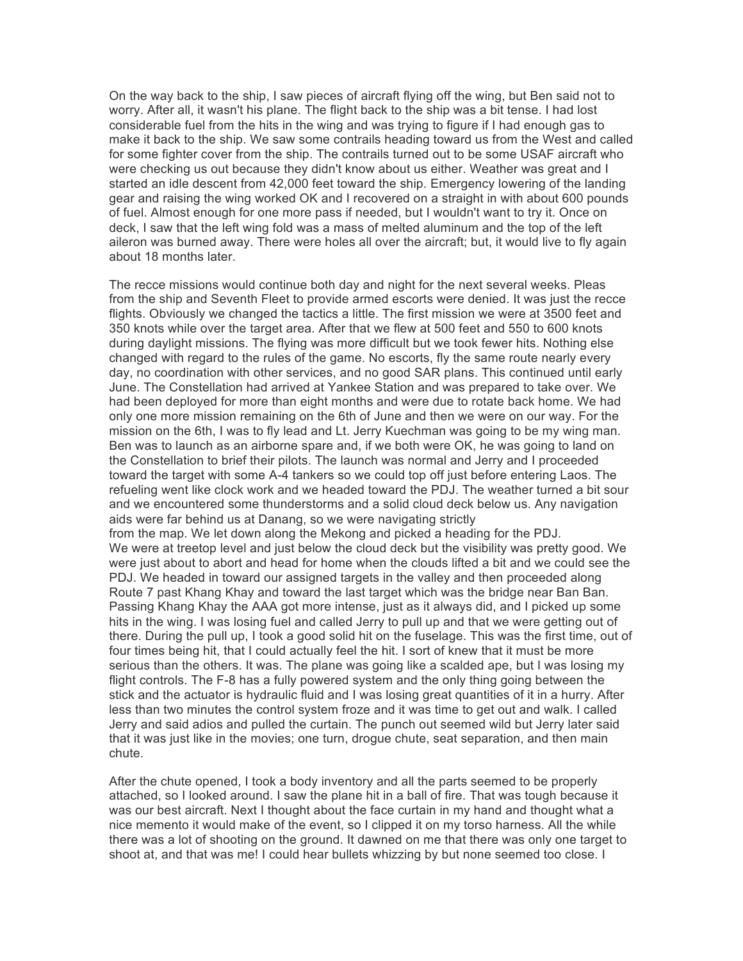On the way back to the ship, I saw pieces of aircraft flying off the wing, but Ben said not to worry. After all, it wasn't his plane. The flight back to the ship was a bit tense. I had lost considerable fuel from the hits in the wing and was trying to figure if I had enough gas to make it back to the ship. We saw some contrails heading toward us from the West and called for some fighter cover from the ship. The contrails turned out to be some USAF aircraft who were checking us out because they didn't know about us either. Weather was great and I started an idle descent from 42,000 feet toward the ship. Emergency lowering of the landing gear and raising the wing worked OK and I recovered on a straight in with about 600 pounds of fuel. Almost enough for one more pass if needed, but I wouldn't want to try it. Once on deck, I saw that the left wing fold was a mass of melted aluminum and the top of the left aileron was burned away. There were holes all over the aircraft; but, it would live to fly again about 18 months later.

The recce missions would continue both day and night for the next several weeks. Pleas from the ship and Seventh Fleet to provide armed escorts were denied. It was just the recce flights. Obviously we changed the tactics a little. The first mission we were at 3500 feet and 350 knots while over the target area. After that we flew at 500 feet and 550 to 600 knots during daylight missions. The flying was more difficult but we took fewer hits. Nothing else changed with regard to the rules of the game. No escorts, fly the same route nearly every day, no coordination with other services, and no good SAR plans. This continued until early June. The Constellation had arrived at Yankee Station and was prepared to take over. We had been deployed for more than eight months and were due to rotate back home. We had only one more mission remaining on the 6th of June and then we were on our way. For the mission on the 6th, I was to fly lead and Lt. Jerry Kuechman was going to be my wing man. Ben was to launch as an airborne spare and, if we both were OK, he was going to land on the Constellation to brief their pilots. The launch was normal and Jerry and I proceeded toward the target with some A-4 tankers so we could top off just before entering Laos. The refueling went like clock work and we headed toward the PDJ. The weather turned a bit sour and we encountered some thunderstorms and a solid cloud deck below us. Any navigation aids were far behind us at Danang, so we were navigating strictly from the map. We let down along the Mekong and picked a heading for the PDJ. We were at treetop level and just below the cloud deck but the visibility was pretty good. We were just about to abort and head for home when the clouds lifted a bit and we could see the PDJ. We headed in toward our assigned targets in the valley and then proceeded along Route 7 past Khang Khay and toward the last target which was the bridge near Ban Ban. Passing Khang Khay the AAA got more intense, just as it always did, and I picked up some hits in the wing. I was losing fuel and called Jerry to pull up and that we were getting out of there. During the pull up, I took a good solid hit on the fuselage. This was the first time, out of four times being hit, that I could actually feel the hit. I sort of knew that it must be more serious than the others. It was. The plane was going like a scalded ape, but I was losing my flight controls. The F-8 has a fully powered system and the only thing going between the stick and the actuator is hydraulic fluid and I was losing great quantities of it in a hurry. After less than two minutes the control system froze and it was time to get out and walk. I called Jerry and said adios and pulled the curtain. The punch out seemed wild but Jerry later said that it was just like in the movies; one turn, drogue chute, seat separation, and then main chute.

After the chute opened, I took a body inventory and all the parts seemed to be properly attached, so I looked around. I saw the plane hit in a ball of fire. That was tough because it was our best aircraft. Next I thought about the face curtain in my hand and thought what a nice memento it would make of the event, so I clipped it on my torso harness. All the while there was a lot of shooting on the ground. It dawned on me that there was only one target to shoot at, and that was me! I could hear bullets whizzing by but none seemed too close. I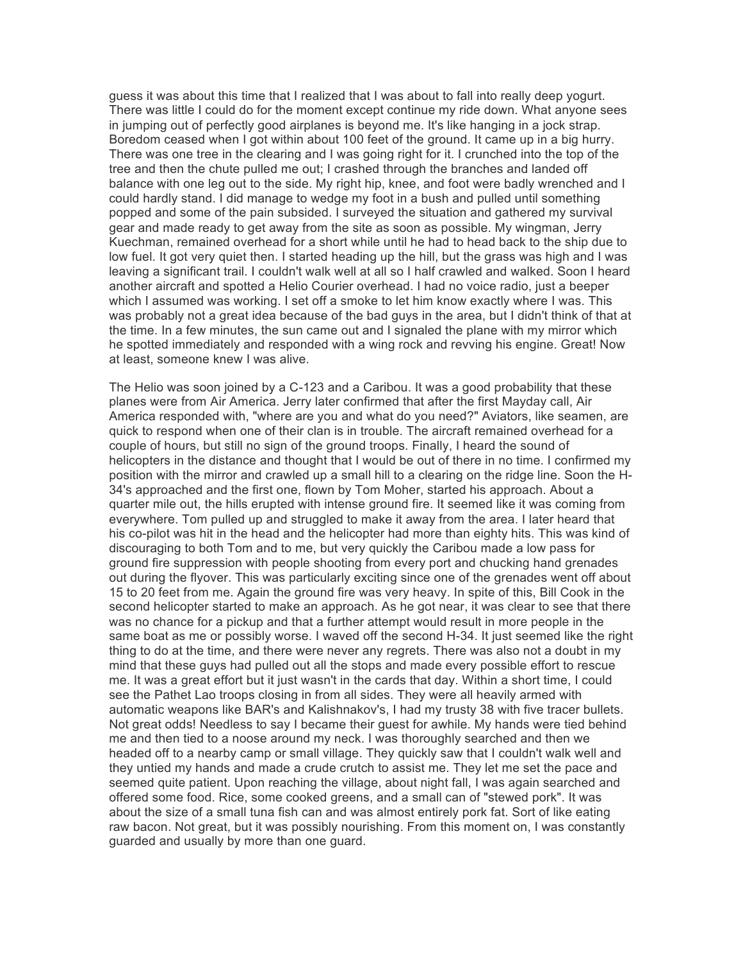guess it was about this time that I realized that I was about to fall into really deep yogurt. There was little I could do for the moment except continue my ride down. What anyone sees in jumping out of perfectly good airplanes is beyond me. It's like hanging in a jock strap. Boredom ceased when I got within about 100 feet of the ground. It came up in a big hurry. There was one tree in the clearing and I was going right for it. I crunched into the top of the tree and then the chute pulled me out; I crashed through the branches and landed off balance with one leg out to the side. My right hip, knee, and foot were badly wrenched and I could hardly stand. I did manage to wedge my foot in a bush and pulled until something popped and some of the pain subsided. I surveyed the situation and gathered my survival gear and made ready to get away from the site as soon as possible. My wingman, Jerry Kuechman, remained overhead for a short while until he had to head back to the ship due to low fuel. It got very quiet then. I started heading up the hill, but the grass was high and I was leaving a significant trail. I couldn't walk well at all so I half crawled and walked. Soon I heard another aircraft and spotted a Helio Courier overhead. I had no voice radio, just a beeper which I assumed was working. I set off a smoke to let him know exactly where I was. This was probably not a great idea because of the bad guys in the area, but I didn't think of that at the time. In a few minutes, the sun came out and I signaled the plane with my mirror which he spotted immediately and responded with a wing rock and revving his engine. Great! Now at least, someone knew I was alive.

The Helio was soon joined by a C-123 and a Caribou. It was a good probability that these planes were from Air America. Jerry later confirmed that after the first Mayday call, Air America responded with, "where are you and what do you need?" Aviators, like seamen, are quick to respond when one of their clan is in trouble. The aircraft remained overhead for a couple of hours, but still no sign of the ground troops. Finally, I heard the sound of helicopters in the distance and thought that I would be out of there in no time. I confirmed my position with the mirror and crawled up a small hill to a clearing on the ridge line. Soon the H-34's approached and the first one, flown by Tom Moher, started his approach. About a quarter mile out, the hills erupted with intense ground fire. It seemed like it was coming from everywhere. Tom pulled up and struggled to make it away from the area. I later heard that his co-pilot was hit in the head and the helicopter had more than eighty hits. This was kind of discouraging to both Tom and to me, but very quickly the Caribou made a low pass for ground fire suppression with people shooting from every port and chucking hand grenades out during the flyover. This was particularly exciting since one of the grenades went off about 15 to 20 feet from me. Again the ground fire was very heavy. In spite of this, Bill Cook in the second helicopter started to make an approach. As he got near, it was clear to see that there was no chance for a pickup and that a further attempt would result in more people in the same boat as me or possibly worse. I waved off the second H-34. It just seemed like the right thing to do at the time, and there were never any regrets. There was also not a doubt in my mind that these guys had pulled out all the stops and made every possible effort to rescue me. It was a great effort but it just wasn't in the cards that day. Within a short time, I could see the Pathet Lao troops closing in from all sides. They were all heavily armed with automatic weapons like BAR's and Kalishnakov's, I had my trusty 38 with five tracer bullets. Not great odds! Needless to say I became their guest for awhile. My hands were tied behind me and then tied to a noose around my neck. I was thoroughly searched and then we headed off to a nearby camp or small village. They quickly saw that I couldn't walk well and they untied my hands and made a crude crutch to assist me. They let me set the pace and seemed quite patient. Upon reaching the village, about night fall, I was again searched and offered some food. Rice, some cooked greens, and a small can of "stewed pork". It was about the size of a small tuna fish can and was almost entirely pork fat. Sort of like eating raw bacon. Not great, but it was possibly nourishing. From this moment on, I was constantly guarded and usually by more than one guard.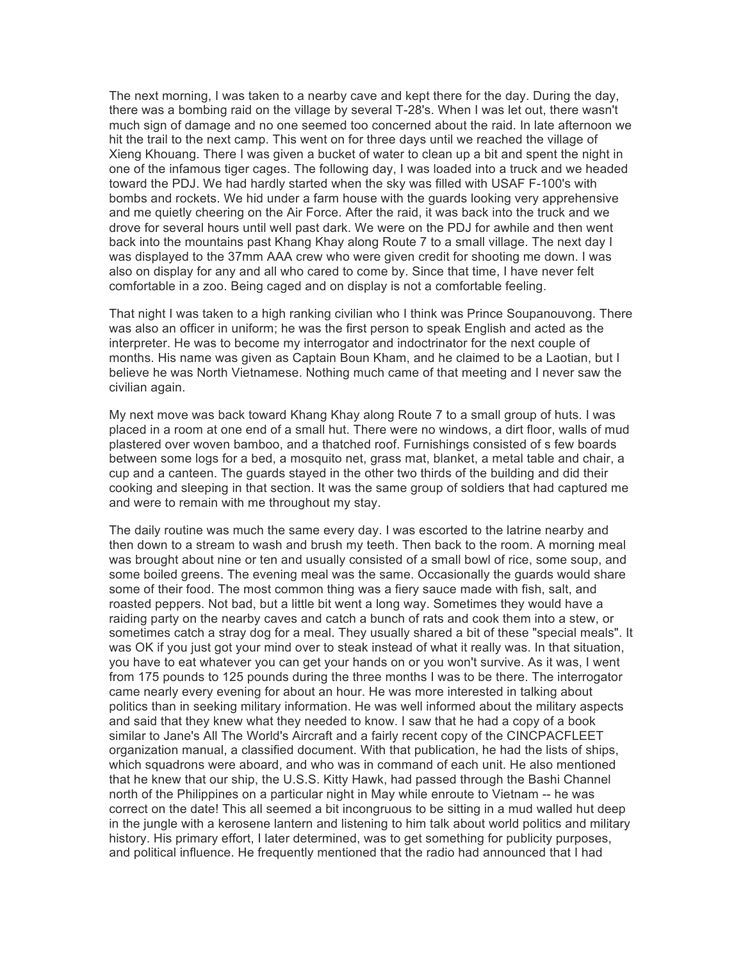The next morning, I was taken to a nearby cave and kept there for the day. During the day, there was a bombing raid on the village by several T-28's. When I was let out, there wasn't much sign of damage and no one seemed too concerned about the raid. In late afternoon we hit the trail to the next camp. This went on for three days until we reached the village of Xieng Khouang. There I was given a bucket of water to clean up a bit and spent the night in one of the infamous tiger cages. The following day, I was loaded into a truck and we headed toward the PDJ. We had hardly started when the sky was filled with USAF F-100's with bombs and rockets. We hid under a farm house with the guards looking very apprehensive and me quietly cheering on the Air Force. After the raid, it was back into the truck and we drove for several hours until well past dark. We were on the PDJ for awhile and then went back into the mountains past Khang Khay along Route 7 to a small village. The next day I was displayed to the 37mm AAA crew who were given credit for shooting me down. I was also on display for any and all who cared to come by. Since that time, I have never felt comfortable in a zoo. Being caged and on display is not a comfortable feeling.

That night I was taken to a high ranking civilian who I think was Prince Soupanouvong. There was also an officer in uniform; he was the first person to speak English and acted as the interpreter. He was to become my interrogator and indoctrinator for the next couple of months. His name was given as Captain Boun Kham, and he claimed to be a Laotian, but I believe he was North Vietnamese. Nothing much came of that meeting and I never saw the civilian again.

My next move was back toward Khang Khay along Route 7 to a small group of huts. I was placed in a room at one end of a small hut. There were no windows, a dirt floor, walls of mud plastered over woven bamboo, and a thatched roof. Furnishings consisted of s few boards between some logs for a bed, a mosquito net, grass mat, blanket, a metal table and chair, a cup and a canteen. The guards stayed in the other two thirds of the building and did their cooking and sleeping in that section. It was the same group of soldiers that had captured me and were to remain with me throughout my stay.

The daily routine was much the same every day. I was escorted to the latrine nearby and then down to a stream to wash and brush my teeth. Then back to the room. A morning meal was brought about nine or ten and usually consisted of a small bowl of rice, some soup, and some boiled greens. The evening meal was the same. Occasionally the guards would share some of their food. The most common thing was a fiery sauce made with fish, salt, and roasted peppers. Not bad, but a little bit went a long way. Sometimes they would have a raiding party on the nearby caves and catch a bunch of rats and cook them into a stew, or sometimes catch a stray dog for a meal. They usually shared a bit of these "special meals". It was OK if you just got your mind over to steak instead of what it really was. In that situation, you have to eat whatever you can get your hands on or you won't survive. As it was, I went from 175 pounds to 125 pounds during the three months I was to be there. The interrogator came nearly every evening for about an hour. He was more interested in talking about politics than in seeking military information. He was well informed about the military aspects and said that they knew what they needed to know. I saw that he had a copy of a book similar to Jane's All The World's Aircraft and a fairly recent copy of the CINCPACFLEET organization manual, a classified document. With that publication, he had the lists of ships, which squadrons were aboard, and who was in command of each unit. He also mentioned that he knew that our ship, the U.S.S. Kitty Hawk, had passed through the Bashi Channel north of the Philippines on a particular night in May while enroute to Vietnam -- he was correct on the date! This all seemed a bit incongruous to be sitting in a mud walled hut deep in the jungle with a kerosene lantern and listening to him talk about world politics and military history. His primary effort, I later determined, was to get something for publicity purposes, and political influence. He frequently mentioned that the radio had announced that I had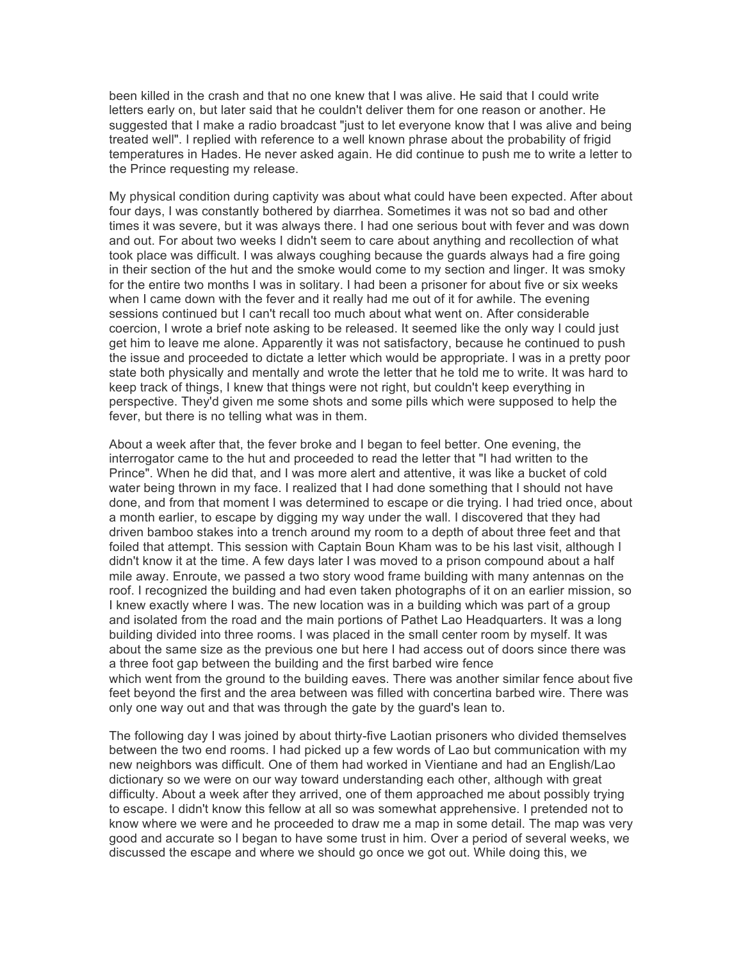been killed in the crash and that no one knew that I was alive. He said that I could write letters early on, but later said that he couldn't deliver them for one reason or another. He suggested that I make a radio broadcast "just to let everyone know that I was alive and being treated well". I replied with reference to a well known phrase about the probability of frigid temperatures in Hades. He never asked again. He did continue to push me to write a letter to the Prince requesting my release.

My physical condition during captivity was about what could have been expected. After about four days, I was constantly bothered by diarrhea. Sometimes it was not so bad and other times it was severe, but it was always there. I had one serious bout with fever and was down and out. For about two weeks I didn't seem to care about anything and recollection of what took place was difficult. I was always coughing because the guards always had a fire going in their section of the hut and the smoke would come to my section and linger. It was smoky for the entire two months I was in solitary. I had been a prisoner for about five or six weeks when I came down with the fever and it really had me out of it for awhile. The evening sessions continued but I can't recall too much about what went on. After considerable coercion, I wrote a brief note asking to be released. It seemed like the only way I could just get him to leave me alone. Apparently it was not satisfactory, because he continued to push the issue and proceeded to dictate a letter which would be appropriate. I was in a pretty poor state both physically and mentally and wrote the letter that he told me to write. It was hard to keep track of things, I knew that things were not right, but couldn't keep everything in perspective. They'd given me some shots and some pills which were supposed to help the fever, but there is no telling what was in them.

About a week after that, the fever broke and I began to feel better. One evening, the interrogator came to the hut and proceeded to read the letter that "I had written to the Prince". When he did that, and I was more alert and attentive, it was like a bucket of cold water being thrown in my face. I realized that I had done something that I should not have done, and from that moment I was determined to escape or die trying. I had tried once, about a month earlier, to escape by digging my way under the wall. I discovered that they had driven bamboo stakes into a trench around my room to a depth of about three feet and that foiled that attempt. This session with Captain Boun Kham was to be his last visit, although I didn't know it at the time. A few days later I was moved to a prison compound about a half mile away. Enroute, we passed a two story wood frame building with many antennas on the roof. I recognized the building and had even taken photographs of it on an earlier mission, so I knew exactly where I was. The new location was in a building which was part of a group and isolated from the road and the main portions of Pathet Lao Headquarters. It was a long building divided into three rooms. I was placed in the small center room by myself. It was about the same size as the previous one but here I had access out of doors since there was a three foot gap between the building and the first barbed wire fence which went from the ground to the building eaves. There was another similar fence about five feet beyond the first and the area between was filled with concertina barbed wire. There was only one way out and that was through the gate by the guard's lean to.

The following day I was joined by about thirty-five Laotian prisoners who divided themselves between the two end rooms. I had picked up a few words of Lao but communication with my new neighbors was difficult. One of them had worked in Vientiane and had an English/Lao dictionary so we were on our way toward understanding each other, although with great difficulty. About a week after they arrived, one of them approached me about possibly trying to escape. I didn't know this fellow at all so was somewhat apprehensive. I pretended not to know where we were and he proceeded to draw me a map in some detail. The map was very good and accurate so I began to have some trust in him. Over a period of several weeks, we discussed the escape and where we should go once we got out. While doing this, we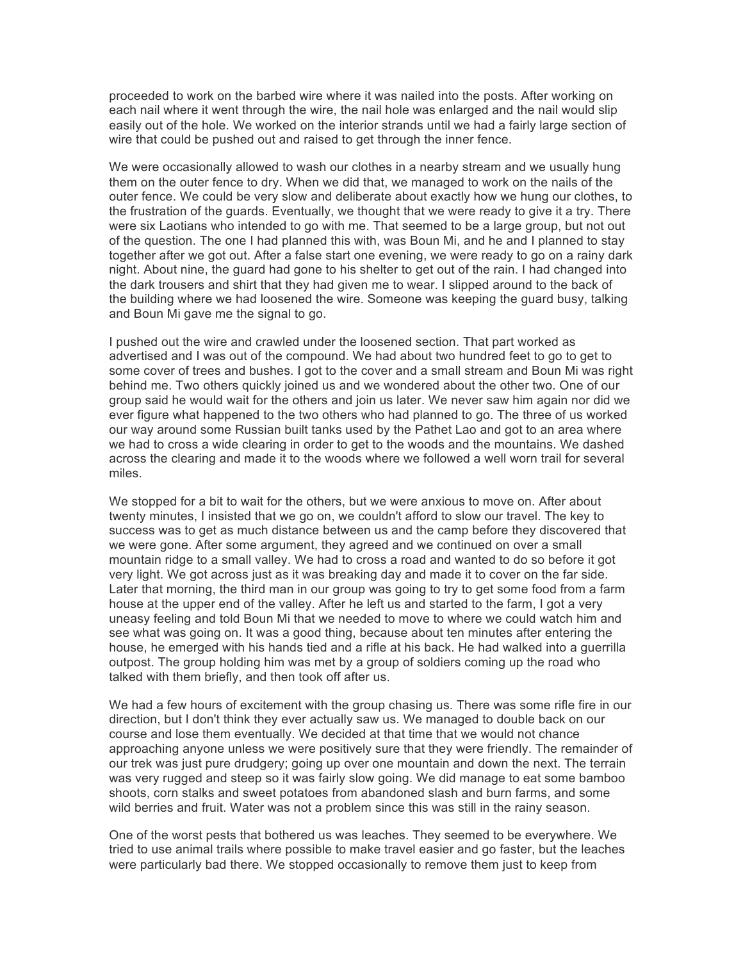proceeded to work on the barbed wire where it was nailed into the posts. After working on each nail where it went through the wire, the nail hole was enlarged and the nail would slip easily out of the hole. We worked on the interior strands until we had a fairly large section of wire that could be pushed out and raised to get through the inner fence.

We were occasionally allowed to wash our clothes in a nearby stream and we usually hung them on the outer fence to dry. When we did that, we managed to work on the nails of the outer fence. We could be very slow and deliberate about exactly how we hung our clothes, to the frustration of the guards. Eventually, we thought that we were ready to give it a try. There were six Laotians who intended to go with me. That seemed to be a large group, but not out of the question. The one I had planned this with, was Boun Mi, and he and I planned to stay together after we got out. After a false start one evening, we were ready to go on a rainy dark night. About nine, the guard had gone to his shelter to get out of the rain. I had changed into the dark trousers and shirt that they had given me to wear. I slipped around to the back of the building where we had loosened the wire. Someone was keeping the guard busy, talking and Boun Mi gave me the signal to go.

I pushed out the wire and crawled under the loosened section. That part worked as advertised and I was out of the compound. We had about two hundred feet to go to get to some cover of trees and bushes. I got to the cover and a small stream and Boun Mi was right behind me. Two others quickly joined us and we wondered about the other two. One of our group said he would wait for the others and join us later. We never saw him again nor did we ever figure what happened to the two others who had planned to go. The three of us worked our way around some Russian built tanks used by the Pathet Lao and got to an area where we had to cross a wide clearing in order to get to the woods and the mountains. We dashed across the clearing and made it to the woods where we followed a well worn trail for several miles.

We stopped for a bit to wait for the others, but we were anxious to move on. After about twenty minutes, I insisted that we go on, we couldn't afford to slow our travel. The key to success was to get as much distance between us and the camp before they discovered that we were gone. After some argument, they agreed and we continued on over a small mountain ridge to a small valley. We had to cross a road and wanted to do so before it got very light. We got across just as it was breaking day and made it to cover on the far side. Later that morning, the third man in our group was going to try to get some food from a farm house at the upper end of the valley. After he left us and started to the farm, I got a very uneasy feeling and told Boun Mi that we needed to move to where we could watch him and see what was going on. It was a good thing, because about ten minutes after entering the house, he emerged with his hands tied and a rifle at his back. He had walked into a guerrilla outpost. The group holding him was met by a group of soldiers coming up the road who talked with them briefly, and then took off after us.

We had a few hours of excitement with the group chasing us. There was some rifle fire in our direction, but I don't think they ever actually saw us. We managed to double back on our course and lose them eventually. We decided at that time that we would not chance approaching anyone unless we were positively sure that they were friendly. The remainder of our trek was just pure drudgery; going up over one mountain and down the next. The terrain was very rugged and steep so it was fairly slow going. We did manage to eat some bamboo shoots, corn stalks and sweet potatoes from abandoned slash and burn farms, and some wild berries and fruit. Water was not a problem since this was still in the rainy season.

One of the worst pests that bothered us was leaches. They seemed to be everywhere. We tried to use animal trails where possible to make travel easier and go faster, but the leaches were particularly bad there. We stopped occasionally to remove them just to keep from